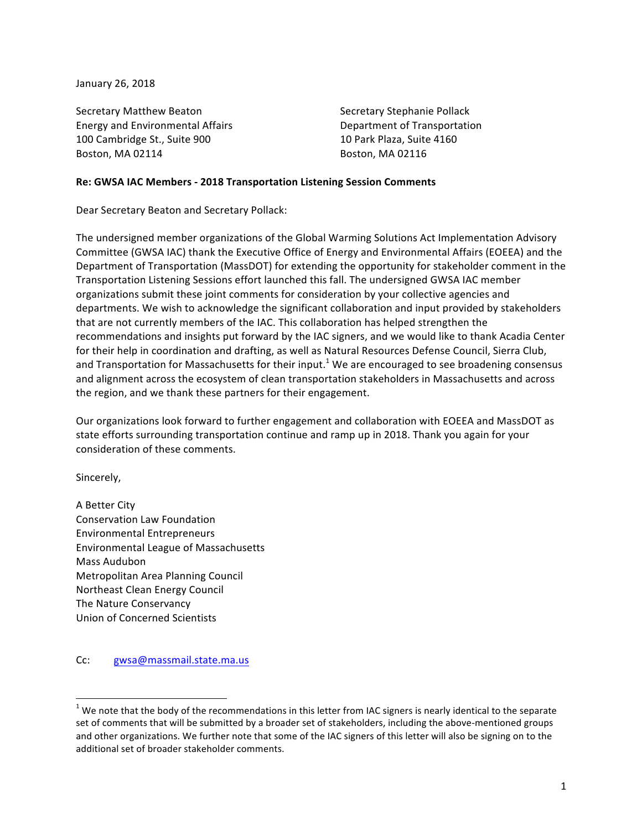January 26, 2018

Secretary Matthew Beaton Secretary Stephanie Pollack Energy and Environmental Affairs **Department** of Transportation 100 Cambridge St., Suite 900 10 Park Plaza, Suite 4160 Boston, MA 02114 Boston, MA 02116

#### **Re: GWSA IAC Members - 2018 Transportation Listening Session Comments**

Dear Secretary Beaton and Secretary Pollack:

The undersigned member organizations of the Global Warming Solutions Act Implementation Advisory Committee (GWSA IAC) thank the Executive Office of Energy and Environmental Affairs (EOEEA) and the Department of Transportation (MassDOT) for extending the opportunity for stakeholder comment in the Transportation Listening Sessions effort launched this fall. The undersigned GWSA IAC member organizations submit these joint comments for consideration by your collective agencies and departments. We wish to acknowledge the significant collaboration and input provided by stakeholders that are not currently members of the IAC. This collaboration has helped strengthen the recommendations and insights put forward by the IAC signers, and we would like to thank Acadia Center for their help in coordination and drafting, as well as Natural Resources Defense Council, Sierra Club, and Transportation for Massachusetts for their input.<sup>1</sup> We are encouraged to see broadening consensus and alignment across the ecosystem of clean transportation stakeholders in Massachusetts and across the region, and we thank these partners for their engagement.

Our organizations look forward to further engagement and collaboration with EOEEA and MassDOT as state efforts surrounding transportation continue and ramp up in 2018. Thank you again for your consideration of these comments.

Sincerely,

A Better City Conservation Law Foundation Environmental Entrepreneurs Environmental League of Massachusetts Mass Audubon Metropolitan Area Planning Council Northeast Clean Energy Council The Nature Conservancy Union of Concerned Scientists

Cc: gwsa@massmail.state.ma.us

<u> 1989 - Johann Stein, markin film yn y breninn y breninn y breninn y breninn y breninn y breninn y breninn y b</u>

 $1$  We note that the body of the recommendations in this letter from IAC signers is nearly identical to the separate set of comments that will be submitted by a broader set of stakeholders, including the above-mentioned groups and other organizations. We further note that some of the IAC signers of this letter will also be signing on to the additional set of broader stakeholder comments.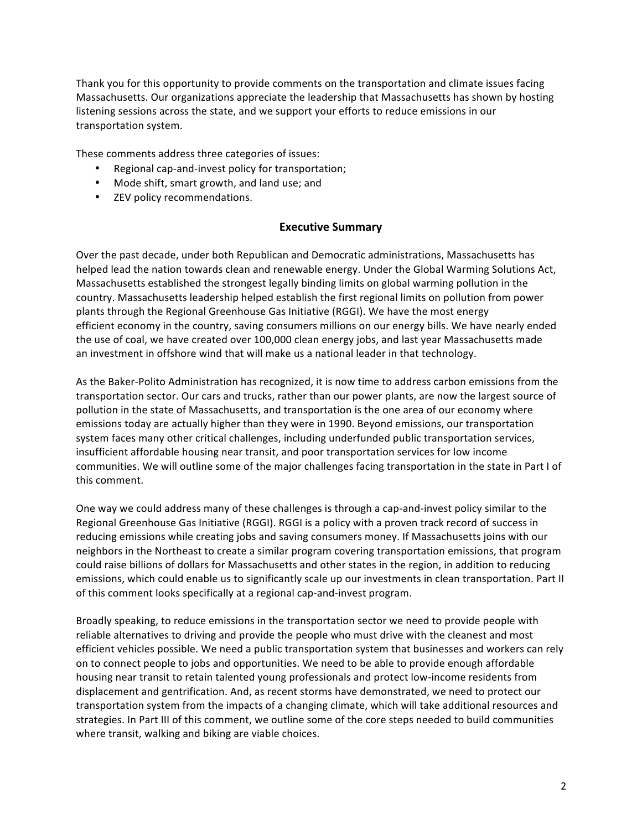Thank you for this opportunity to provide comments on the transportation and climate issues facing Massachusetts. Our organizations appreciate the leadership that Massachusetts has shown by hosting listening sessions across the state, and we support your efforts to reduce emissions in our transportation system.

These comments address three categories of issues:

- Regional cap-and-invest policy for transportation;
- Mode shift, smart growth, and land use; and
- ZEV policy recommendations.

### **Executive Summary**

Over the past decade, under both Republican and Democratic administrations, Massachusetts has helped lead the nation towards clean and renewable energy. Under the Global Warming Solutions Act, Massachusetts established the strongest legally binding limits on global warming pollution in the country. Massachusetts leadership helped establish the first regional limits on pollution from power plants through the Regional Greenhouse Gas Initiative (RGGI). We have the most energy efficient economy in the country, saving consumers millions on our energy bills. We have nearly ended the use of coal, we have created over 100,000 clean energy jobs, and last year Massachusetts made an investment in offshore wind that will make us a national leader in that technology.

As the Baker-Polito Administration has recognized, it is now time to address carbon emissions from the transportation sector. Our cars and trucks, rather than our power plants, are now the largest source of pollution in the state of Massachusetts, and transportation is the one area of our economy where emissions today are actually higher than they were in 1990. Beyond emissions, our transportation system faces many other critical challenges, including underfunded public transportation services, insufficient affordable housing near transit, and poor transportation services for low income communities. We will outline some of the major challenges facing transportation in the state in Part I of this comment.

One way we could address many of these challenges is through a cap-and-invest policy similar to the Regional Greenhouse Gas Initiative (RGGI). RGGI is a policy with a proven track record of success in reducing emissions while creating jobs and saving consumers money. If Massachusetts joins with our neighbors in the Northeast to create a similar program covering transportation emissions, that program could raise billions of dollars for Massachusetts and other states in the region, in addition to reducing emissions, which could enable us to significantly scale up our investments in clean transportation. Part II of this comment looks specifically at a regional cap-and-invest program.

Broadly speaking, to reduce emissions in the transportation sector we need to provide people with reliable alternatives to driving and provide the people who must drive with the cleanest and most efficient vehicles possible. We need a public transportation system that businesses and workers can rely on to connect people to jobs and opportunities. We need to be able to provide enough affordable housing near transit to retain talented young professionals and protect low-income residents from displacement and gentrification. And, as recent storms have demonstrated, we need to protect our transportation system from the impacts of a changing climate, which will take additional resources and strategies. In Part III of this comment, we outline some of the core steps needed to build communities where transit, walking and biking are viable choices.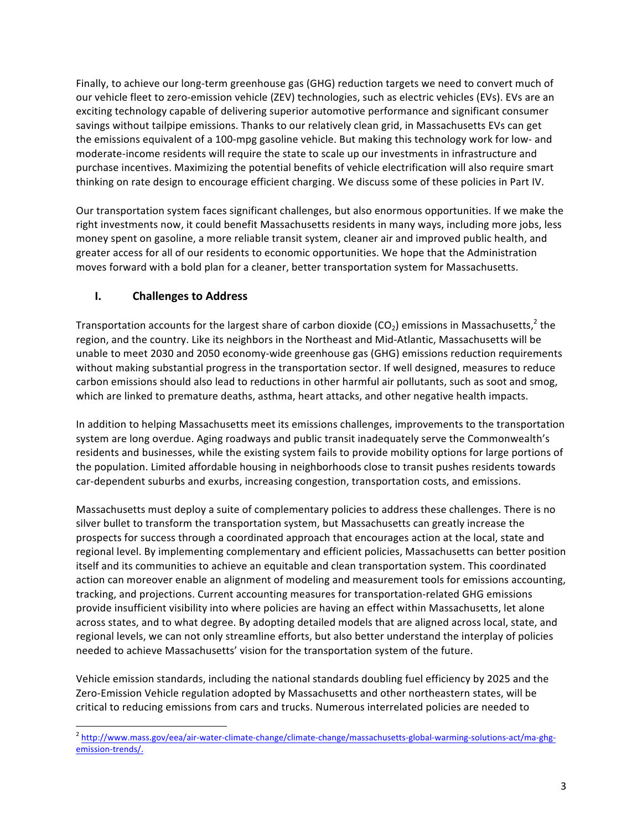Finally, to achieve our long-term greenhouse gas (GHG) reduction targets we need to convert much of our vehicle fleet to zero-emission vehicle (ZEV) technologies, such as electric vehicles (EVs). EVs are an exciting technology capable of delivering superior automotive performance and significant consumer savings without tailpipe emissions. Thanks to our relatively clean grid, in Massachusetts EVs can get the emissions equivalent of a 100-mpg gasoline vehicle. But making this technology work for low- and moderate-income residents will require the state to scale up our investments in infrastructure and purchase incentives. Maximizing the potential benefits of vehicle electrification will also require smart thinking on rate design to encourage efficient charging. We discuss some of these policies in Part IV.

Our transportation system faces significant challenges, but also enormous opportunities. If we make the right investments now, it could benefit Massachusetts residents in many ways, including more jobs, less money spent on gasoline, a more reliable transit system, cleaner air and improved public health, and greater access for all of our residents to economic opportunities. We hope that the Administration moves forward with a bold plan for a cleaner, better transportation system for Massachusetts.

# **I.** Challenges to Address

Transportation accounts for the largest share of carbon dioxide  $(CO<sub>2</sub>)$  emissions in Massachusetts,<sup>2</sup> the region, and the country. Like its neighbors in the Northeast and Mid-Atlantic, Massachusetts will be unable to meet 2030 and 2050 economy-wide greenhouse gas (GHG) emissions reduction requirements without making substantial progress in the transportation sector. If well designed, measures to reduce carbon emissions should also lead to reductions in other harmful air pollutants, such as soot and smog, which are linked to premature deaths, asthma, heart attacks, and other negative health impacts.

In addition to helping Massachusetts meet its emissions challenges, improvements to the transportation system are long overdue. Aging roadways and public transit inadequately serve the Commonwealth's residents and businesses, while the existing system fails to provide mobility options for large portions of the population. Limited affordable housing in neighborhoods close to transit pushes residents towards car-dependent suburbs and exurbs, increasing congestion, transportation costs, and emissions.

Massachusetts must deploy a suite of complementary policies to address these challenges. There is no silver bullet to transform the transportation system, but Massachusetts can greatly increase the prospects for success through a coordinated approach that encourages action at the local, state and regional level. By implementing complementary and efficient policies, Massachusetts can better position itself and its communities to achieve an equitable and clean transportation system. This coordinated action can moreover enable an alignment of modeling and measurement tools for emissions accounting, tracking, and projections. Current accounting measures for transportation-related GHG emissions provide insufficient visibility into where policies are having an effect within Massachusetts, let alone across states, and to what degree. By adopting detailed models that are aligned across local, state, and regional levels, we can not only streamline efforts, but also better understand the interplay of policies needed to achieve Massachusetts' vision for the transportation system of the future.

Vehicle emission standards, including the national standards doubling fuel efficiency by 2025 and the Zero-Emission Vehicle regulation adopted by Massachusetts and other northeastern states, will be critical to reducing emissions from cars and trucks. Numerous interrelated policies are needed to

<sup>&</sup>lt;sup>2</sup> http://www.mass.gov/eea/air-water-climate-change/climate-change/massachusetts-global-warming-solutions-act/ma-ghgemission-trends/.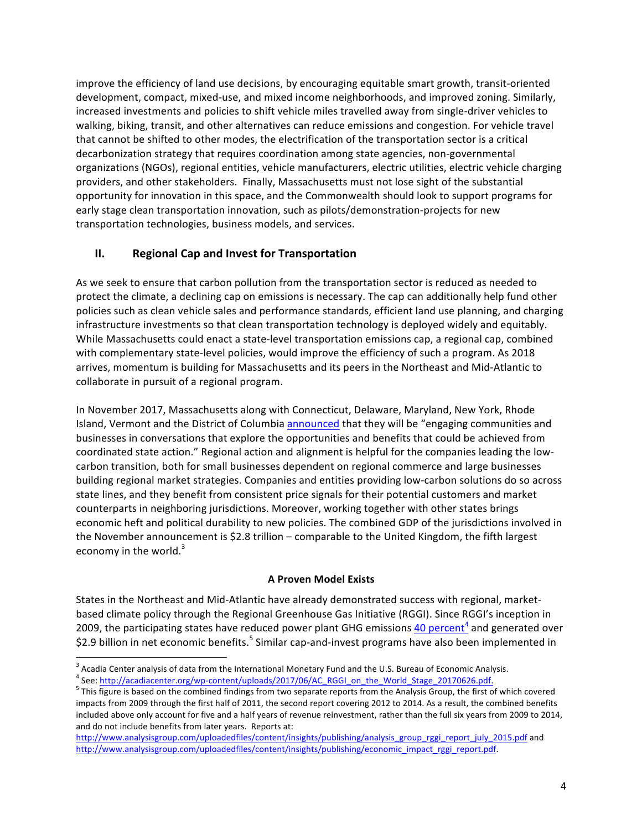improve the efficiency of land use decisions, by encouraging equitable smart growth, transit-oriented development, compact, mixed-use, and mixed income neighborhoods, and improved zoning. Similarly, increased investments and policies to shift vehicle miles travelled away from single-driver vehicles to walking, biking, transit, and other alternatives can reduce emissions and congestion. For vehicle travel that cannot be shifted to other modes, the electrification of the transportation sector is a critical decarbonization strategy that requires coordination among state agencies, non-governmental organizations (NGOs), regional entities, vehicle manufacturers, electric utilities, electric vehicle charging providers, and other stakeholders. Finally, Massachusetts must not lose sight of the substantial opportunity for innovation in this space, and the Commonwealth should look to support programs for early stage clean transportation innovation, such as pilots/demonstration-projects for new transportation technologies, business models, and services.

# **II.** Regional Cap and Invest for Transportation

As we seek to ensure that carbon pollution from the transportation sector is reduced as needed to protect the climate, a declining cap on emissions is necessary. The cap can additionally help fund other policies such as clean vehicle sales and performance standards, efficient land use planning, and charging infrastructure investments so that clean transportation technology is deployed widely and equitably. While Massachusetts could enact a state-level transportation emissions cap, a regional cap, combined with complementary state-level policies, would improve the efficiency of such a program. As 2018 arrives, momentum is building for Massachusetts and its peers in the Northeast and Mid-Atlantic to collaborate in pursuit of a regional program.

In November 2017, Massachusetts along with Connecticut, Delaware, Maryland, New York, Rhode Island, Vermont and the District of Columbia announced that they will be "engaging communities and businesses in conversations that explore the opportunities and benefits that could be achieved from coordinated state action." Regional action and alignment is helpful for the companies leading the lowcarbon transition, both for small businesses dependent on regional commerce and large businesses building regional market strategies. Companies and entities providing low-carbon solutions do so across state lines, and they benefit from consistent price signals for their potential customers and market counterparts in neighboring jurisdictions. Moreover, working together with other states brings economic heft and political durability to new policies. The combined GDP of the jurisdictions involved in the November announcement is \$2.8 trillion – comparable to the United Kingdom, the fifth largest economy in the world. $3$ 

### **A Proven Model Exists**

States in the Northeast and Mid-Atlantic have already demonstrated success with regional, marketbased climate policy through the Regional Greenhouse Gas Initiative (RGGI). Since RGGI's inception in 2009, the participating states have reduced power plant GHG emissions 40 percent<sup>4</sup> and generated over \$2.9 billion in net economic benefits.<sup>5</sup> Similar cap-and-invest programs have also been implemented in

<sup>&</sup>lt;sup>3</sup> Acadia Center analysis of data from the International Monetary Fund and the U.S. Bureau of Economic Analysis.<br><sup>4</sup> See: http://acadiacenter.org/wp-content/uploads/2017/06/AC\_RGGI\_on\_the\_World\_Stage\_20170626.pdf.<br><sup>5</sup> Th

impacts from 2009 through the first half of 2011, the second report covering 2012 to 2014. As a result, the combined benefits included above only account for five and a half years of revenue reinvestment, rather than the full six years from 2009 to 2014, and do not include benefits from later years. Reports at:

http://www.analysisgroup.com/uploadedfiles/content/insights/publishing/analysis\_group\_rggi\_report\_july\_2015.pdf and http://www.analysisgroup.com/uploadedfiles/content/insights/publishing/economic\_impact\_rggi\_report.pdf.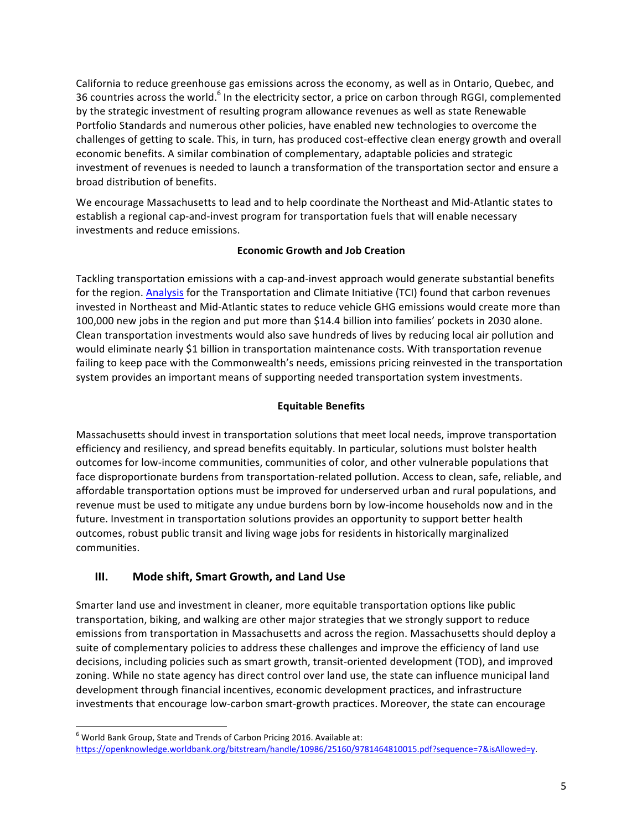California to reduce greenhouse gas emissions across the economy, as well as in Ontario, Quebec, and 36 countries across the world.<sup>6</sup> In the electricity sector, a price on carbon through RGGI, complemented by the strategic investment of resulting program allowance revenues as well as state Renewable Portfolio Standards and numerous other policies, have enabled new technologies to overcome the challenges of getting to scale. This, in turn, has produced cost-effective clean energy growth and overall economic benefits. A similar combination of complementary, adaptable policies and strategic investment of revenues is needed to launch a transformation of the transportation sector and ensure a broad distribution of benefits.

We encourage Massachusetts to lead and to help coordinate the Northeast and Mid-Atlantic states to establish a regional cap-and-invest program for transportation fuels that will enable necessary investments and reduce emissions.

### **Economic Growth and Job Creation**

Tackling transportation emissions with a cap-and-invest approach would generate substantial benefits for the region. Analysis for the Transportation and Climate Initiative (TCI) found that carbon revenues invested in Northeast and Mid-Atlantic states to reduce vehicle GHG emissions would create more than 100,000 new jobs in the region and put more than \$14.4 billion into families' pockets in 2030 alone. Clean transportation investments would also save hundreds of lives by reducing local air pollution and would eliminate nearly \$1 billion in transportation maintenance costs. With transportation revenue failing to keep pace with the Commonwealth's needs, emissions pricing reinvested in the transportation system provides an important means of supporting needed transportation system investments.

## **Equitable Benefits**

Massachusetts should invest in transportation solutions that meet local needs, improve transportation efficiency and resiliency, and spread benefits equitably. In particular, solutions must bolster health outcomes for low-income communities, communities of color, and other vulnerable populations that face disproportionate burdens from transportation-related pollution. Access to clean, safe, reliable, and affordable transportation options must be improved for underserved urban and rural populations, and revenue must be used to mitigate any undue burdens born by low-income households now and in the future. Investment in transportation solutions provides an opportunity to support better health outcomes, robust public transit and living wage jobs for residents in historically marginalized communities.

# **III.** Mode shift, Smart Growth, and Land Use

Smarter land use and investment in cleaner, more equitable transportation options like public transportation, biking, and walking are other major strategies that we strongly support to reduce emissions from transportation in Massachusetts and across the region. Massachusetts should deploy a suite of complementary policies to address these challenges and improve the efficiency of land use decisions, including policies such as smart growth, transit-oriented development (TOD), and improved zoning. While no state agency has direct control over land use, the state can influence municipal land development through financial incentives, economic development practices, and infrastructure investments that encourage low-carbon smart-growth practices. Moreover, the state can encourage

 $^6$  World Bank Group, State and Trends of Carbon Pricing 2016. Available at: https://openknowledge.worldbank.org/bitstream/handle/10986/25160/9781464810015.pdf?sequence=7&isAllowed=y.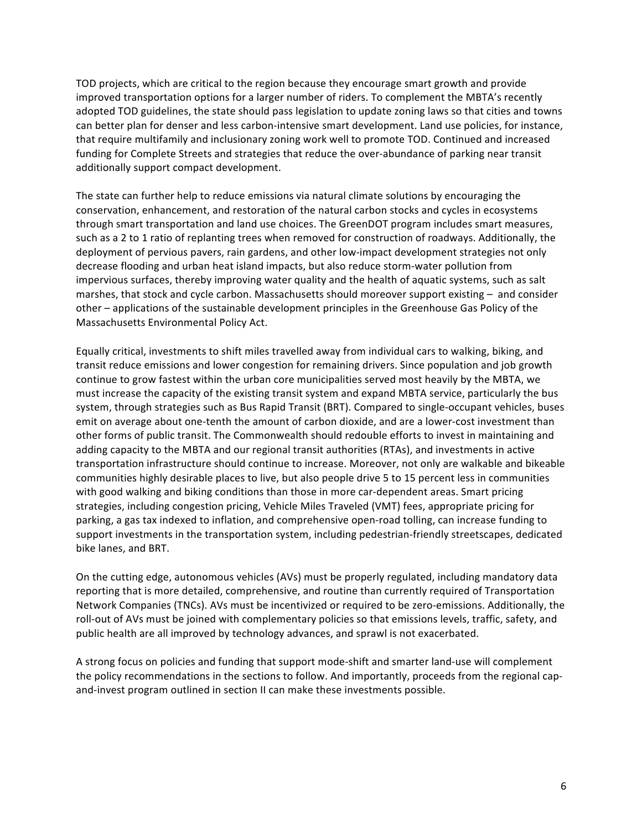TOD projects, which are critical to the region because they encourage smart growth and provide improved transportation options for a larger number of riders. To complement the MBTA's recently adopted TOD guidelines, the state should pass legislation to update zoning laws so that cities and towns can better plan for denser and less carbon-intensive smart development. Land use policies, for instance, that require multifamily and inclusionary zoning work well to promote TOD. Continued and increased funding for Complete Streets and strategies that reduce the over-abundance of parking near transit additionally support compact development.

The state can further help to reduce emissions via natural climate solutions by encouraging the conservation, enhancement, and restoration of the natural carbon stocks and cycles in ecosystems through smart transportation and land use choices. The GreenDOT program includes smart measures, such as a 2 to 1 ratio of replanting trees when removed for construction of roadways. Additionally, the deployment of pervious pavers, rain gardens, and other low-impact development strategies not only decrease flooding and urban heat island impacts, but also reduce storm-water pollution from impervious surfaces, thereby improving water quality and the health of aquatic systems, such as salt marshes, that stock and cycle carbon. Massachusetts should moreover support existing – and consider other – applications of the sustainable development principles in the Greenhouse Gas Policy of the Massachusetts Environmental Policy Act.

Equally critical, investments to shift miles travelled away from individual cars to walking, biking, and transit reduce emissions and lower congestion for remaining drivers. Since population and job growth continue to grow fastest within the urban core municipalities served most heavily by the MBTA, we must increase the capacity of the existing transit system and expand MBTA service, particularly the bus system, through strategies such as Bus Rapid Transit (BRT). Compared to single-occupant vehicles, buses emit on average about one-tenth the amount of carbon dioxide, and are a lower-cost investment than other forms of public transit. The Commonwealth should redouble efforts to invest in maintaining and adding capacity to the MBTA and our regional transit authorities (RTAs), and investments in active transportation infrastructure should continue to increase. Moreover, not only are walkable and bikeable communities highly desirable places to live, but also people drive 5 to 15 percent less in communities with good walking and biking conditions than those in more car-dependent areas. Smart pricing strategies, including congestion pricing, Vehicle Miles Traveled (VMT) fees, appropriate pricing for parking, a gas tax indexed to inflation, and comprehensive open-road tolling, can increase funding to support investments in the transportation system, including pedestrian-friendly streetscapes, dedicated bike lanes, and BRT.

On the cutting edge, autonomous vehicles (AVs) must be properly regulated, including mandatory data reporting that is more detailed, comprehensive, and routine than currently required of Transportation Network Companies (TNCs). AVs must be incentivized or required to be zero-emissions. Additionally, the roll-out of AVs must be joined with complementary policies so that emissions levels, traffic, safety, and public health are all improved by technology advances, and sprawl is not exacerbated.

A strong focus on policies and funding that support mode-shift and smarter land-use will complement the policy recommendations in the sections to follow. And importantly, proceeds from the regional capand-invest program outlined in section II can make these investments possible.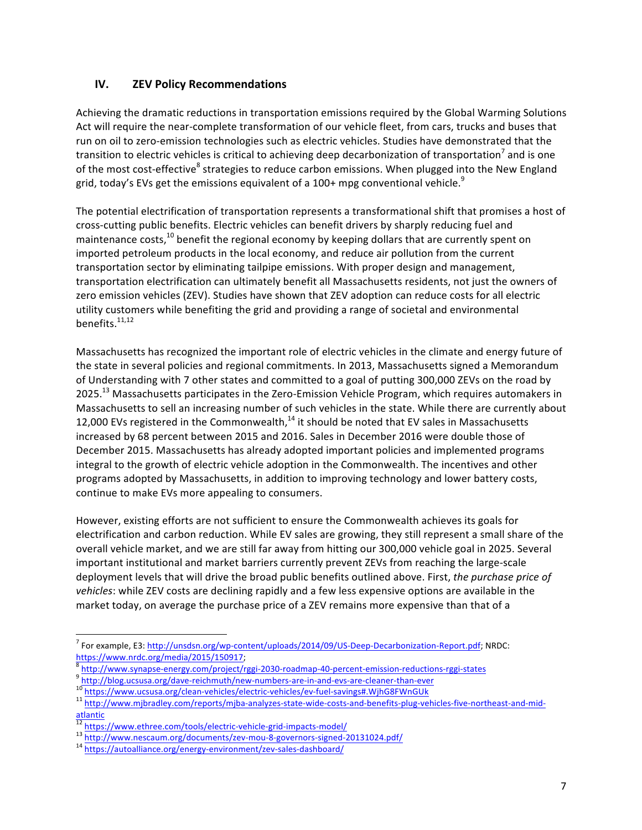# **IV. ZEV Policy Recommendations**

Achieving the dramatic reductions in transportation emissions required by the Global Warming Solutions Act will require the near-complete transformation of our vehicle fleet, from cars, trucks and buses that run on oil to zero-emission technologies such as electric vehicles. Studies have demonstrated that the transition to electric vehicles is critical to achieving deep decarbonization of transportation<sup>7</sup> and is one of the most cost-effective<sup>8</sup> strategies to reduce carbon emissions. When plugged into the New England grid, today's EVs get the emissions equivalent of a 100+ mpg conventional vehicle. $^9$ 

The potential electrification of transportation represents a transformational shift that promises a host of cross-cutting public benefits. Electric vehicles can benefit drivers by sharply reducing fuel and maintenance costs, $^{10}$  benefit the regional economy by keeping dollars that are currently spent on imported petroleum products in the local economy, and reduce air pollution from the current transportation sector by eliminating tailpipe emissions. With proper design and management, transportation electrification can ultimately benefit all Massachusetts residents, not just the owners of zero emission vehicles (ZEV). Studies have shown that ZEV adoption can reduce costs for all electric utility customers while benefiting the grid and providing a range of societal and environmental benefits. $11,12$ 

Massachusetts has recognized the important role of electric vehicles in the climate and energy future of the state in several policies and regional commitments. In 2013, Massachusetts signed a Memorandum of Understanding with 7 other states and committed to a goal of putting 300,000 ZEVs on the road by 2025.<sup>13</sup> Massachusetts participates in the Zero-Emission Vehicle Program, which requires automakers in Massachusetts to sell an increasing number of such vehicles in the state. While there are currently about 12,000 EVs registered in the Commonwealth, $^{14}$  it should be noted that EV sales in Massachusetts increased by 68 percent between 2015 and 2016. Sales in December 2016 were double those of December 2015. Massachusetts has already adopted important policies and implemented programs integral to the growth of electric vehicle adoption in the Commonwealth. The incentives and other programs adopted by Massachusetts, in addition to improving technology and lower battery costs, continue to make EVs more appealing to consumers.

However, existing efforts are not sufficient to ensure the Commonwealth achieves its goals for electrification and carbon reduction. While EV sales are growing, they still represent a small share of the overall vehicle market, and we are still far away from hitting our 300,000 vehicle goal in 2025. Several important institutional and market barriers currently prevent ZEVs from reaching the large-scale deployment levels that will drive the broad public benefits outlined above. First, the purchase price of *vehicles*: while ZEV costs are declining rapidly and a few less expensive options are available in the market today, on average the purchase price of a ZEV remains more expensive than that of a

 $^7$  For example, E3:  $\frac{http://unsds.n.org/wp-content/uploads/2014/09/US-Deep-Decarbonization-Report.pdf; NRDC: <https://www.nrdc.org/media/2015/150917>;$ 

<sup>&</sup>lt;sup>8</sup> http://www.synapse-energy.com/project/rggi-2030-roadmap-40-percent-emission-reductions-rggi-states<br><sup>9</sup> http://blog.ucsusa.org/dave-reichmuth/new-numbers-are-in-and-evs-are-cleaner-than-ever<br><sup>10</sup> https://www.ucsusa.org/ atlantic<br>
<sup>12</sup> https://www.ethree.com/tools/electric-vehicle-grid-impacts-model/

<sup>13</sup> http://www.nescaum.org/documents/zev-mou-8-governors-signed-20131024.pdf/<br>
<sup>14</sup> https://autoalliance.org/energy-environment/zev-sales-dashboard/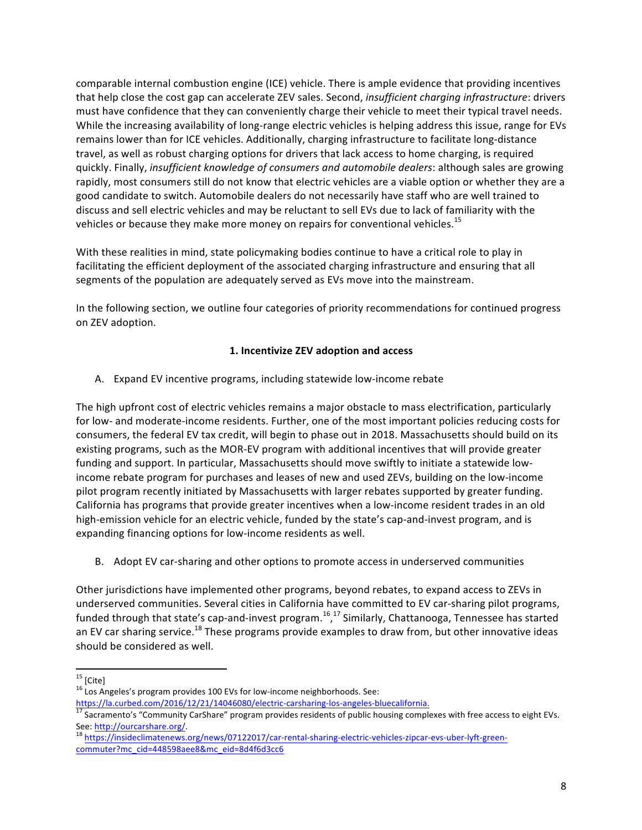comparable internal combustion engine (ICE) vehicle. There is ample evidence that providing incentives that help close the cost gap can accelerate ZEV sales. Second, *insufficient charging infrastructure*: drivers must have confidence that they can conveniently charge their vehicle to meet their typical travel needs. While the increasing availability of long-range electric vehicles is helping address this issue, range for EVs remains lower than for ICE vehicles. Additionally, charging infrastructure to facilitate long-distance travel, as well as robust charging options for drivers that lack access to home charging, is required quickly. Finally, *insufficient knowledge of consumers and automobile dealers*: although sales are growing rapidly, most consumers still do not know that electric vehicles are a viable option or whether they are a good candidate to switch. Automobile dealers do not necessarily have staff who are well trained to discuss and sell electric vehicles and may be reluctant to sell EVs due to lack of familiarity with the vehicles or because they make more money on repairs for conventional vehicles.<sup>15</sup>

With these realities in mind, state policymaking bodies continue to have a critical role to play in facilitating the efficient deployment of the associated charging infrastructure and ensuring that all segments of the population are adequately served as EVs move into the mainstream.

In the following section, we outline four categories of priority recommendations for continued progress on ZEV adoption.

### **1. Incentivize ZEV adoption and access**

A. Expand EV incentive programs, including statewide low-income rebate

The high upfront cost of electric vehicles remains a major obstacle to mass electrification, particularly for low- and moderate-income residents. Further, one of the most important policies reducing costs for consumers, the federal EV tax credit, will begin to phase out in 2018. Massachusetts should build on its existing programs, such as the MOR-EV program with additional incentives that will provide greater funding and support. In particular, Massachusetts should move swiftly to initiate a statewide lowincome rebate program for purchases and leases of new and used ZEVs, building on the low-income pilot program recently initiated by Massachusetts with larger rebates supported by greater funding. California has programs that provide greater incentives when a low-income resident trades in an old high-emission vehicle for an electric vehicle, funded by the state's cap-and-invest program, and is expanding financing options for low-income residents as well.

B. Adopt EV car-sharing and other options to promote access in underserved communities

Other jurisdictions have implemented other programs, beyond rebates, to expand access to ZEVs in underserved communities. Several cities in California have committed to EV car-sharing pilot programs, funded through that state's cap-and-invest program.<sup>16</sup>,<sup>17</sup> Similarly, Chattanooga, Tennessee has started an EV car sharing service.<sup>18</sup> These programs provide examples to draw from, but other innovative ideas should be considered as well.

<sup>&</sup>lt;sup>15</sup> [Cite]<br><sup>16</sup> Los Angeles's program provides 100 EVs for low-income neighborhoods. See:

https://la.curbed.com/2016/12/21/14046080/electric-carsharing-los-angeles-bluecalifornia.<br>
<sup>17</sup> Sacramento's "Community CarShare" program provides residents of public housing complexes with free access to eight EVs.<br>
See:

<sup>18</sup> https://insideclimatenews.org/news/07122017/car-rental-sharing-electric-vehicles-zipcar-evs-uber-lyft-greencommuter?mc\_cid=448598aee8&mc\_eid=8d4f6d3cc6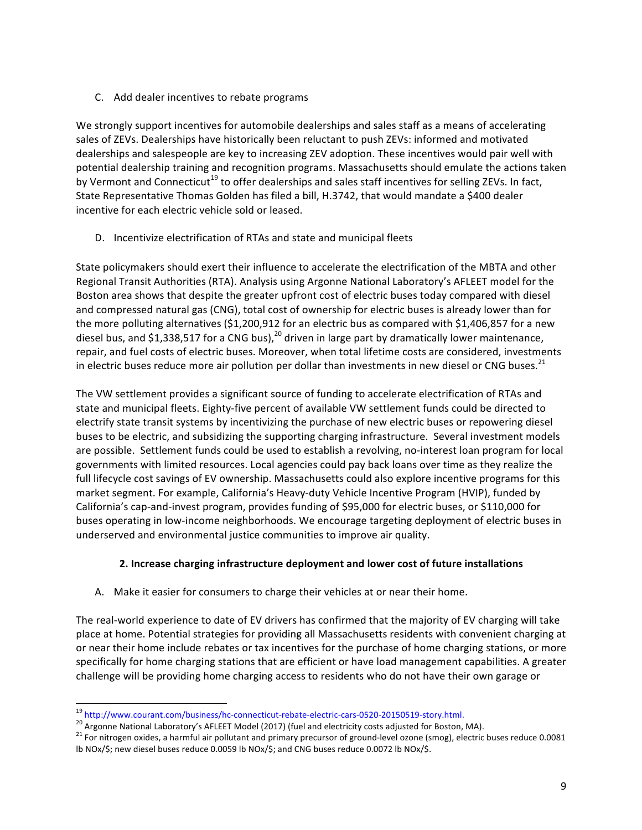C. Add dealer incentives to rebate programs

We strongly support incentives for automobile dealerships and sales staff as a means of accelerating sales of ZEVs. Dealerships have historically been reluctant to push ZEVs: informed and motivated dealerships and salespeople are key to increasing ZEV adoption. These incentives would pair well with potential dealership training and recognition programs. Massachusetts should emulate the actions taken by Vermont and Connecticut<sup>19</sup> to offer dealerships and sales staff incentives for selling ZEVs. In fact, State Representative Thomas Golden has filed a bill, H.3742, that would mandate a \$400 dealer incentive for each electric vehicle sold or leased.

D. Incentivize electrification of RTAs and state and municipal fleets

State policymakers should exert their influence to accelerate the electrification of the MBTA and other Regional Transit Authorities (RTA). Analysis using Argonne National Laboratory's AFLEET model for the Boston area shows that despite the greater upfront cost of electric buses today compared with diesel and compressed natural gas (CNG), total cost of ownership for electric buses is already lower than for the more polluting alternatives  $(51,200,912$  for an electric bus as compared with  $$1,406,857$  for a new diesel bus, and \$1,338,517 for a CNG bus),<sup>20</sup> driven in large part by dramatically lower maintenance, repair, and fuel costs of electric buses. Moreover, when total lifetime costs are considered, investments in electric buses reduce more air pollution per dollar than investments in new diesel or CNG buses.<sup>21</sup>

The VW settlement provides a significant source of funding to accelerate electrification of RTAs and state and municipal fleets. Eighty-five percent of available VW settlement funds could be directed to electrify state transit systems by incentivizing the purchase of new electric buses or repowering diesel buses to be electric, and subsidizing the supporting charging infrastructure. Several investment models are possible. Settlement funds could be used to establish a revolving, no-interest loan program for local governments with limited resources. Local agencies could pay back loans over time as they realize the full lifecycle cost savings of EV ownership. Massachusetts could also explore incentive programs for this market segment. For example, California's Heavy-duty Vehicle Incentive Program (HVIP), funded by California's cap-and-invest program, provides funding of \$95,000 for electric buses, or \$110,000 for buses operating in low-income neighborhoods. We encourage targeting deployment of electric buses in underserved and environmental justice communities to improve air quality.

## 2. Increase charging infrastructure deployment and lower cost of future installations

A. Make it easier for consumers to charge their vehicles at or near their home.

The real-world experience to date of EV drivers has confirmed that the majority of EV charging will take place at home. Potential strategies for providing all Massachusetts residents with convenient charging at or near their home include rebates or tax incentives for the purchase of home charging stations, or more specifically for home charging stations that are efficient or have load management capabilities. A greater challenge will be providing home charging access to residents who do not have their own garage or

<sup>&</sup>lt;sup>19</sup> http://www.courant.com/business/hc-connecticut-rebate-electric-cars-0520-20150519-story.html.<br><sup>20</sup> Argonne National Laboratory's AFLEET Model (2017) (fuel and electricity costs adjusted for Boston, MA).<br><sup>21</sup> For nitr lb NOx/\$; new diesel buses reduce 0.0059 lb NOx/\$; and CNG buses reduce 0.0072 lb NOx/\$.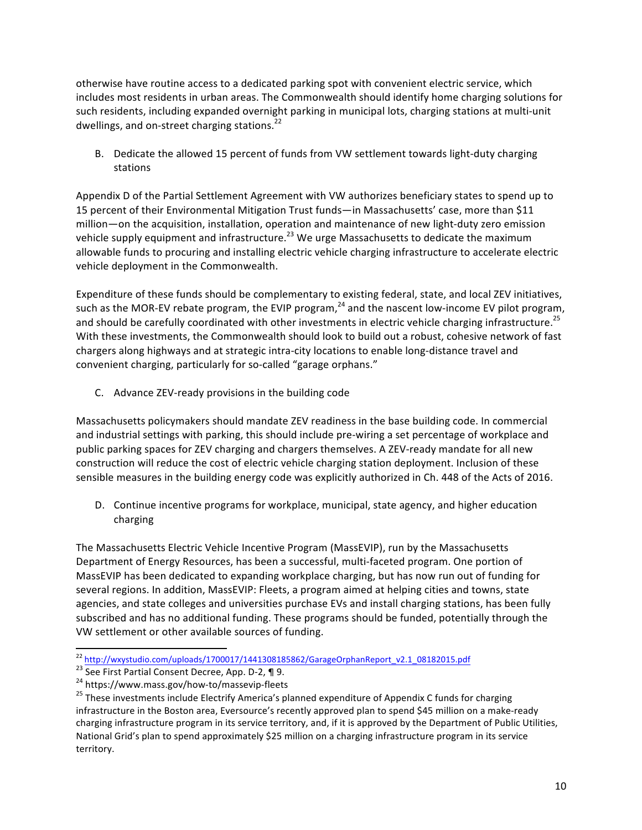otherwise have routine access to a dedicated parking spot with convenient electric service, which includes most residents in urban areas. The Commonwealth should identify home charging solutions for such residents, including expanded overnight parking in municipal lots, charging stations at multi-unit dwellings, and on-street charging stations.<sup>22</sup>

B. Dedicate the allowed 15 percent of funds from VW settlement towards light-duty charging stations

Appendix D of the Partial Settlement Agreement with VW authorizes beneficiary states to spend up to 15 percent of their Environmental Mitigation Trust funds—in Massachusetts' case, more than \$11 million—on the acquisition, installation, operation and maintenance of new light-duty zero emission vehicle supply equipment and infrastructure.<sup>23</sup> We urge Massachusetts to dedicate the maximum allowable funds to procuring and installing electric vehicle charging infrastructure to accelerate electric vehicle deployment in the Commonwealth.

Expenditure of these funds should be complementary to existing federal, state, and local ZEV initiatives, such as the MOR-EV rebate program, the EVIP program, $^{24}$  and the nascent low-income EV pilot program, and should be carefully coordinated with other investments in electric vehicle charging infrastructure.<sup>25</sup> With these investments, the Commonwealth should look to build out a robust, cohesive network of fast chargers along highways and at strategic intra-city locations to enable long-distance travel and convenient charging, particularly for so-called "garage orphans."

C. Advance ZEV-ready provisions in the building code

Massachusetts policymakers should mandate ZEV readiness in the base building code. In commercial and industrial settings with parking, this should include pre-wiring a set percentage of workplace and public parking spaces for ZEV charging and chargers themselves. A ZEV-ready mandate for all new construction will reduce the cost of electric vehicle charging station deployment. Inclusion of these sensible measures in the building energy code was explicitly authorized in Ch. 448 of the Acts of 2016.

D. Continue incentive programs for workplace, municipal, state agency, and higher education charging

The Massachusetts Electric Vehicle Incentive Program (MassEVIP), run by the Massachusetts Department of Energy Resources, has been a successful, multi-faceted program. One portion of MassEVIP has been dedicated to expanding workplace charging, but has now run out of funding for several regions. In addition, MassEVIP: Fleets, a program aimed at helping cities and towns, state agencies, and state colleges and universities purchase EVs and install charging stations, has been fully subscribed and has no additional funding. These programs should be funded, potentially through the VW settlement or other available sources of funding.

 $\frac{\frac{22 \text{ http://wxystudio.com/uploads/1700017/1441308185862/GarageOrphanReport_v2.1_08182015.pdf}{23 \text{ See First Partial Constant Decree, App. D-2, \P\ 9.}}$ <br>
24 https://www.mass.gov/how-to/massevip-fleets<br>
25 These investments include Electrify America's planned expenditure of Appendix infrastructure in the Boston area, Eversource's recently approved plan to spend \$45 million on a make-ready charging infrastructure program in its service territory, and, if it is approved by the Department of Public Utilities, National Grid's plan to spend approximately \$25 million on a charging infrastructure program in its service territory.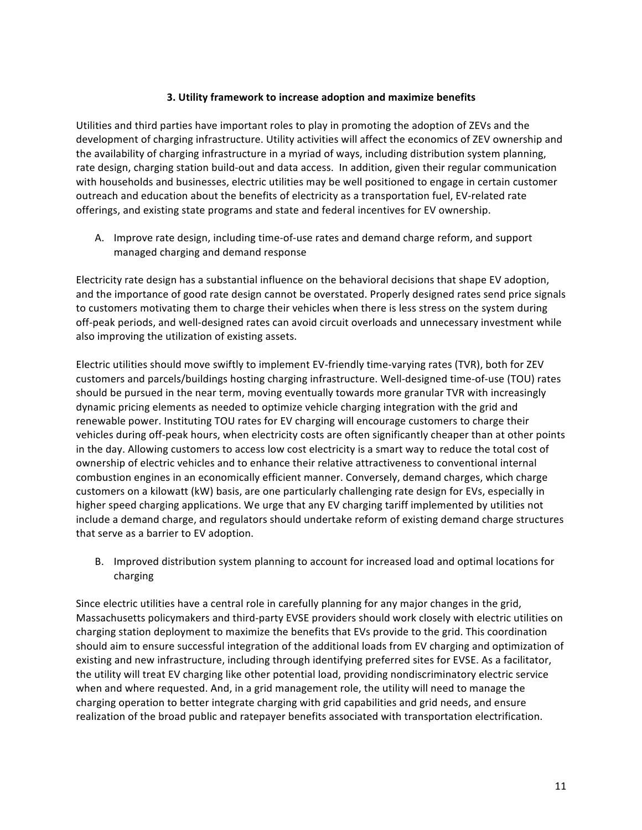### **3. Utility framework to increase adoption and maximize benefits**

Utilities and third parties have important roles to play in promoting the adoption of ZEVs and the development of charging infrastructure. Utility activities will affect the economics of ZEV ownership and the availability of charging infrastructure in a myriad of ways, including distribution system planning, rate design, charging station build-out and data access. In addition, given their regular communication with households and businesses, electric utilities may be well positioned to engage in certain customer outreach and education about the benefits of electricity as a transportation fuel, EV-related rate offerings, and existing state programs and state and federal incentives for EV ownership.

A. Improve rate design, including time-of-use rates and demand charge reform, and support managed charging and demand response

Electricity rate design has a substantial influence on the behavioral decisions that shape EV adoption, and the importance of good rate design cannot be overstated. Properly designed rates send price signals to customers motivating them to charge their vehicles when there is less stress on the system during off-peak periods, and well-designed rates can avoid circuit overloads and unnecessary investment while also improving the utilization of existing assets.

Electric utilities should move swiftly to implement EV-friendly time-varying rates (TVR), both for ZEV customers and parcels/buildings hosting charging infrastructure. Well-designed time-of-use (TOU) rates should be pursued in the near term, moving eventually towards more granular TVR with increasingly dynamic pricing elements as needed to optimize vehicle charging integration with the grid and renewable power. Instituting TOU rates for EV charging will encourage customers to charge their vehicles during off-peak hours, when electricity costs are often significantly cheaper than at other points in the day. Allowing customers to access low cost electricity is a smart way to reduce the total cost of ownership of electric vehicles and to enhance their relative attractiveness to conventional internal combustion engines in an economically efficient manner. Conversely, demand charges, which charge customers on a kilowatt (kW) basis, are one particularly challenging rate design for EVs, especially in higher speed charging applications. We urge that any EV charging tariff implemented by utilities not include a demand charge, and regulators should undertake reform of existing demand charge structures that serve as a barrier to EV adoption.

B. Improved distribution system planning to account for increased load and optimal locations for charging

Since electric utilities have a central role in carefully planning for any major changes in the grid, Massachusetts policymakers and third-party EVSE providers should work closely with electric utilities on charging station deployment to maximize the benefits that EVs provide to the grid. This coordination should aim to ensure successful integration of the additional loads from EV charging and optimization of existing and new infrastructure, including through identifying preferred sites for EVSE. As a facilitator, the utility will treat EV charging like other potential load, providing nondiscriminatory electric service when and where requested. And, in a grid management role, the utility will need to manage the charging operation to better integrate charging with grid capabilities and grid needs, and ensure realization of the broad public and ratepayer benefits associated with transportation electrification.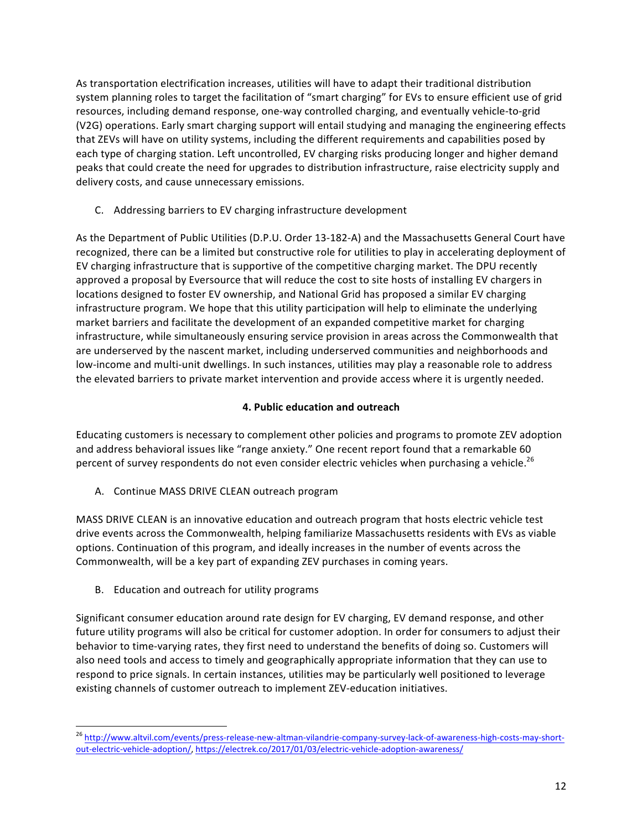As transportation electrification increases, utilities will have to adapt their traditional distribution system planning roles to target the facilitation of "smart charging" for EVs to ensure efficient use of grid resources, including demand response, one-way controlled charging, and eventually vehicle-to-grid (V2G) operations. Early smart charging support will entail studying and managing the engineering effects that ZEVs will have on utility systems, including the different requirements and capabilities posed by each type of charging station. Left uncontrolled, EV charging risks producing longer and higher demand peaks that could create the need for upgrades to distribution infrastructure, raise electricity supply and delivery costs, and cause unnecessary emissions.

C. Addressing barriers to EV charging infrastructure development

As the Department of Public Utilities (D.P.U. Order 13-182-A) and the Massachusetts General Court have recognized, there can be a limited but constructive role for utilities to play in accelerating deployment of EV charging infrastructure that is supportive of the competitive charging market. The DPU recently approved a proposal by Eversource that will reduce the cost to site hosts of installing EV chargers in locations designed to foster EV ownership, and National Grid has proposed a similar EV charging infrastructure program. We hope that this utility participation will help to eliminate the underlying market barriers and facilitate the development of an expanded competitive market for charging infrastructure, while simultaneously ensuring service provision in areas across the Commonwealth that are underserved by the nascent market, including underserved communities and neighborhoods and low-income and multi-unit dwellings. In such instances, utilities may play a reasonable role to address the elevated barriers to private market intervention and provide access where it is urgently needed.

# **4. Public education and outreach**

Educating customers is necessary to complement other policies and programs to promote ZEV adoption and address behavioral issues like "range anxiety." One recent report found that a remarkable 60 percent of survey respondents do not even consider electric vehicles when purchasing a vehicle.<sup>26</sup>

A. Continue MASS DRIVE CLEAN outreach program

MASS DRIVE CLEAN is an innovative education and outreach program that hosts electric vehicle test drive events across the Commonwealth, helping familiarize Massachusetts residents with EVs as viable options. Continuation of this program, and ideally increases in the number of events across the Commonwealth, will be a key part of expanding ZEV purchases in coming years.

B. Education and outreach for utility programs

Significant consumer education around rate design for EV charging, EV demand response, and other future utility programs will also be critical for customer adoption. In order for consumers to adjust their behavior to time-varying rates, they first need to understand the benefits of doing so. Customers will also need tools and access to timely and geographically appropriate information that they can use to respond to price signals. In certain instances, utilities may be particularly well positioned to leverage existing channels of customer outreach to implement ZEV-education initiatives.

<sup>&</sup>lt;sup>26</sup> http://www.altvil.com/events/press-release-new-altman-vilandrie-company-survey-lack-of-awareness-high-costs-may-shortout-electric-vehicle-adoption/, https://electrek.co/2017/01/03/electric-vehicle-adoption-awareness/